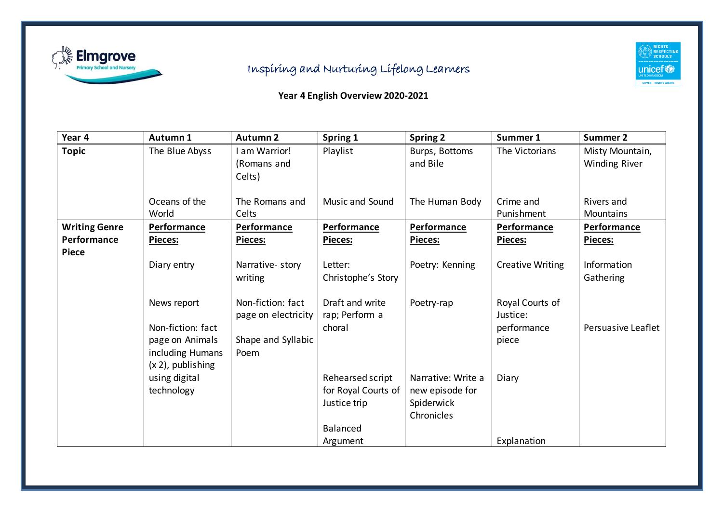

## Inspiring and Nurturing Lifelong Learners

## RIGHTS<br>RESPECTING<br>SCHOOLS **UNICEF®** SILVER – RIGHTS AWARE

## **Year 4 English Overview 2020-2021**

| Year 4                                              | Autumn 1                                                                                        | <b>Autumn 2</b>                                                        | Spring 1                                                                               | <b>Spring 2</b>                                                   | Summer 1                                            | <b>Summer 2</b>                         |
|-----------------------------------------------------|-------------------------------------------------------------------------------------------------|------------------------------------------------------------------------|----------------------------------------------------------------------------------------|-------------------------------------------------------------------|-----------------------------------------------------|-----------------------------------------|
| <b>Topic</b>                                        | The Blue Abyss                                                                                  | I am Warrior!<br>(Romans and<br>Celts)                                 | Playlist                                                                               | Burps, Bottoms<br>and Bile                                        | The Victorians                                      | Misty Mountain,<br><b>Winding River</b> |
|                                                     | Oceans of the<br>World                                                                          | The Romans and<br>Celts                                                | <b>Music and Sound</b>                                                                 | The Human Body                                                    | Crime and<br>Punishment                             | Rivers and<br>Mountains                 |
| <b>Writing Genre</b><br>Performance<br><b>Piece</b> | Performance<br><b>Pieces:</b>                                                                   | Performance<br><b>Pieces:</b>                                          | Performance<br><b>Pieces:</b>                                                          | Performance<br><b>Pieces:</b>                                     | Performance<br><b>Pieces:</b>                       | Performance<br><b>Pieces:</b>           |
|                                                     | Diary entry                                                                                     | Narrative-story<br>writing                                             | Letter:<br>Christophe's Story                                                          | Poetry: Kenning                                                   | <b>Creative Writing</b>                             | Information<br>Gathering                |
|                                                     | News report<br>Non-fiction: fact<br>page on Animals<br>including Humans<br>$(x 2)$ , publishing | Non-fiction: fact<br>page on electricity<br>Shape and Syllabic<br>Poem | Draft and write<br>rap; Perform a<br>choral                                            | Poetry-rap                                                        | Royal Courts of<br>Justice:<br>performance<br>piece | Persuasive Leaflet                      |
|                                                     | using digital<br>technology                                                                     |                                                                        | Rehearsed script<br>for Royal Courts of<br>Justice trip<br><b>Balanced</b><br>Argument | Narrative: Write a<br>new episode for<br>Spiderwick<br>Chronicles | Diary<br>Explanation                                |                                         |